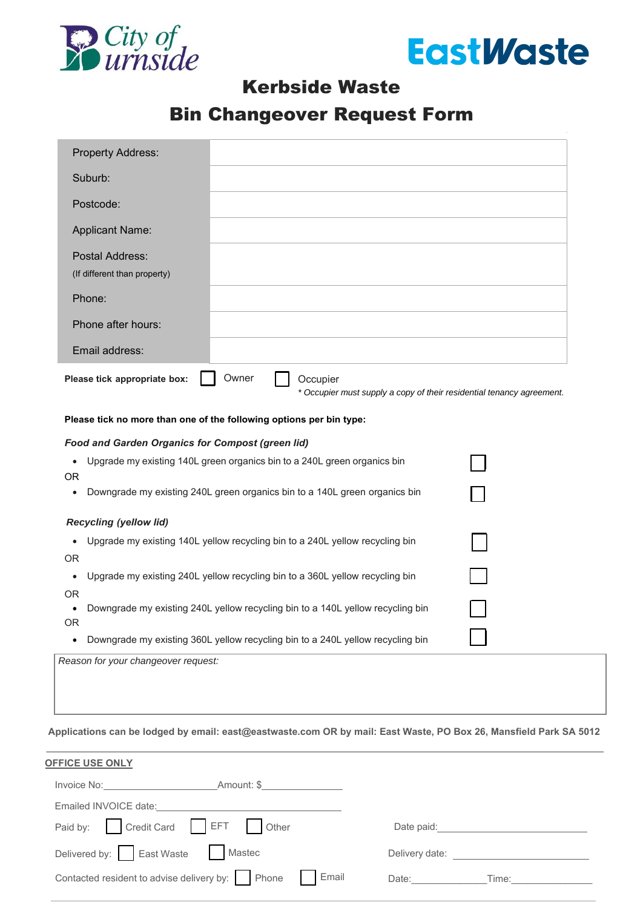



# Kerbside Waste

# Bin Changeover Request Form

| <b>Property Address:</b>                                            |       |  |                                                                                   |  |  |
|---------------------------------------------------------------------|-------|--|-----------------------------------------------------------------------------------|--|--|
| Suburb:                                                             |       |  |                                                                                   |  |  |
| Postcode:                                                           |       |  |                                                                                   |  |  |
| <b>Applicant Name:</b>                                              |       |  |                                                                                   |  |  |
| Postal Address:<br>(If different than property)                     |       |  |                                                                                   |  |  |
| Phone:                                                              |       |  |                                                                                   |  |  |
| Phone after hours:                                                  |       |  |                                                                                   |  |  |
| Email address:                                                      |       |  |                                                                                   |  |  |
| Please tick appropriate box:                                        | Owner |  | Occupier<br>* Occupier must supply a copy of their residential tenancy agreement. |  |  |
| Please tick no more than one of the following options per bin type: |       |  |                                                                                   |  |  |

#### *Food and Garden Organics for Compost (green lid)*

|           | Upgrade my existing 140L green organics bin to a 240L green organics bin       |  |  |
|-----------|--------------------------------------------------------------------------------|--|--|
| OR.       |                                                                                |  |  |
|           | Downgrade my existing 240L green organics bin to a 140L green organics bin     |  |  |
|           | <b>Recycling (yellow lid)</b>                                                  |  |  |
|           | Upgrade my existing 140L yellow recycling bin to a 240L yellow recycling bin   |  |  |
| OR.       |                                                                                |  |  |
|           | Upgrade my existing 240L yellow recycling bin to a 360L yellow recycling bin   |  |  |
| <b>OR</b> |                                                                                |  |  |
| OR.       | Downgrade my existing 240L yellow recycling bin to a 140L yellow recycling bin |  |  |
|           | Downgrade my existing 360L yellow recycling bin to a 240L yellow recycling bin |  |  |
|           | Reason for your changeover request:                                            |  |  |

**Applications can be lodged by email: [east@eastwaste.com](mailto:east@eastwaste.com) OR by mail: East Waste, PO Box 26, Mansfield Park SA 5012**

| <b>OFFICE USE ONLY</b>                                 |                                                                                                                 |
|--------------------------------------------------------|-----------------------------------------------------------------------------------------------------------------|
| Invoice No: Amount: \$                                 |                                                                                                                 |
| Emailed INVOICE date:                                  |                                                                                                                 |
| Paid by: Credit Card EFT Other                         | Date paid: Date by Date by Date by Date by Date by Date by Date by Date by Date by Date by Date by D            |
| Delivered by: East Waste<br>Mastec                     | Delivery date: Note that the set of the set of the set of the set of the set of the set of the set of the set o |
| Contacted resident to advise delivery by: Phone Famail | Date: ______<br>Time:                                                                                           |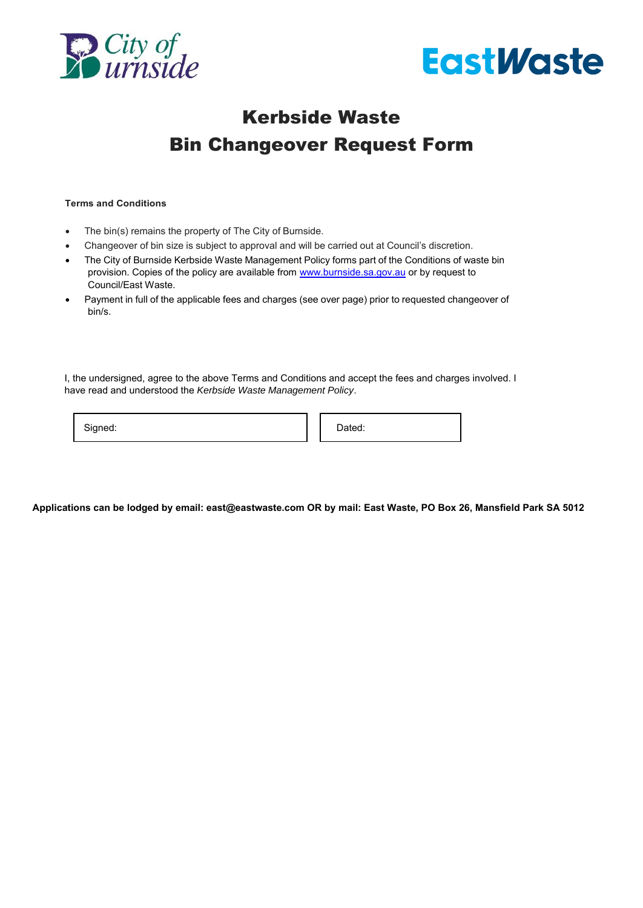



# Kerbside Waste Bin Changeover Request Form

#### **Terms and Conditions**

- The bin(s) remains the property of The City of Burnside.
- Changeover of bin size is subject to approval and will be carried out at Council's discretion.
- The City of Burnside Kerbside Waste Management Policy forms part of the Conditions of waste bin provision. Copies of the policy are available from [www.burnside.sa.gov.au o](http://www.burnside.sa.gov.au/)r by request to Council/East Waste.
- Payment in full of the applicable fees and charges (see over page) prior to requested changeover of bin/s.

I, the undersigned, agree to the above Terms and Conditions and accept the fees and charges involved. I have read and understood the *Kerbside Waste Management Policy*.

Signed: **Dated:** Dated:

**Applications can be lodged by email: [east@eastwaste.com](mailto:east@eastwaste.com) OR by mail: East Waste, PO Box 26, Mansfield Park SA 5012**